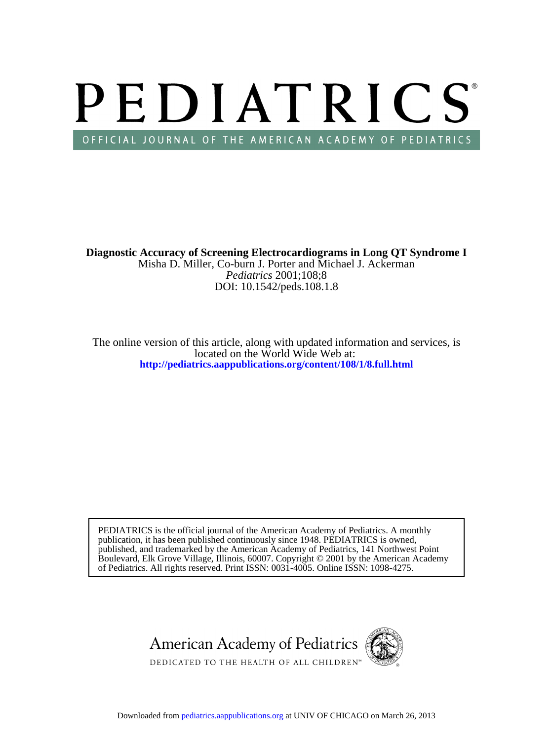# PEDIATRICS OFFICIAL JOURNAL OF THE AMERICAN ACADEMY OF PEDIATRICS

DOI: 10.1542/peds.108.1.8 *Pediatrics* 2001;108;8 Misha D. Miller, Co-burn J. Porter and Michael J. Ackerman **Diagnostic Accuracy of Screening Electrocardiograms in Long QT Syndrome I**

**<http://pediatrics.aappublications.org/content/108/1/8.full.html>** located on the World Wide Web at: The online version of this article, along with updated information and services, is

of Pediatrics. All rights reserved. Print ISSN: 0031-4005. Online ISSN: 1098-4275. Boulevard, Elk Grove Village, Illinois, 60007. Copyright © 2001 by the American Academy published, and trademarked by the American Academy of Pediatrics, 141 Northwest Point publication, it has been published continuously since 1948. PEDIATRICS is owned, PEDIATRICS is the official journal of the American Academy of Pediatrics. A monthly

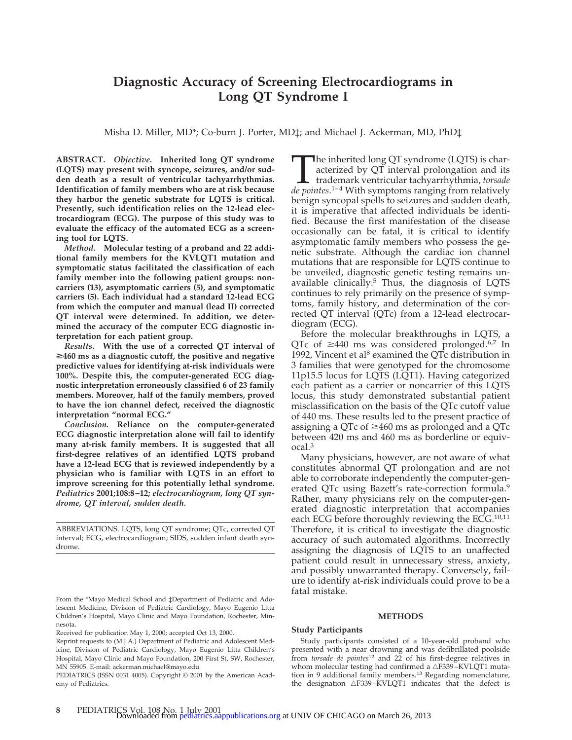# **Diagnostic Accuracy of Screening Electrocardiograms in Long QT Syndrome I**

Misha D. Miller, MD\*; Co-burn J. Porter, MD‡; and Michael J. Ackerman, MD, PhD‡

**ABSTRACT.** *Objective.* **Inherited long QT syndrome (LQTS) may present with syncope, seizures, and/or sudden death as a result of ventricular tachyarrhythmias. Identification of family members who are at risk because they harbor the genetic substrate for LQTS is critical. Presently, such identification relies on the 12-lead electrocardiogram (ECG). The purpose of this study was to evaluate the efficacy of the automated ECG as a screening tool for LQTS.**

*Method.* **Molecular testing of a proband and 22 additional family members for the KVLQT1 mutation and symptomatic status facilitated the classification of each family member into the following patient groups: noncarriers (13), asymptomatic carriers (5), and symptomatic carriers (5). Each individual had a standard 12-lead ECG from which the computer and manual (lead II) corrected QT interval were determined. In addition, we determined the accuracy of the computer ECG diagnostic interpretation for each patient group.**

*Results.* **With the use of a corrected QT interval of** >**460 ms as a diagnostic cutoff, the positive and negative predictive values for identifying at-risk individuals were 100%. Despite this, the computer-generated ECG diagnostic interpretation erroneously classified 6 of 23 family members. Moreover, half of the family members, proved to have the ion channel defect, received the diagnostic interpretation "normal ECG."**

*Conclusion.* **Reliance on the computer-generated ECG diagnostic interpretation alone will fail to identify many at-risk family members. It is suggested that all first-degree relatives of an identified LQTS proband have a 12-lead ECG that is reviewed independently by a physician who is familiar with LQTS in an effort to improve screening for this potentially lethal syndrome.** *Pediatrics* **2001;108:8–12;** *electrocardiogram, long QT syndrome, QT interval, sudden death.*

ABBREVIATIONS. LQTS, long QT syndrome; QTc, corrected QT interval; ECG, electrocardiogram; SIDS, sudden infant death syndrome.

From the \*Mayo Medical School and ‡Department of Pediatric and Adolescent Medicine, Division of Pediatric Cardiology, Mayo Eugenio Litta Children's Hospital, Mayo Clinic and Mayo Foundation, Rochester, Minnesota.

Received for publication May 1, 2000; accepted Oct 13, 2000.

Reprint requests to (M.J.A.) Department of Pediatric and Adolescent Medicine, Division of Pediatric Cardiology, Mayo Eugenio Litta Children's Hospital, Mayo Clinic and Mayo Foundation, 200 First St, SW, Rochester, MN 55905. E-mail: ackerman.michael@mayo.edu

PEDIATRICS (ISSN 0031 4005). Copyright © 2001 by the American Academy of Pediatrics.

The inherited long QT syndrome (LQTS) is characterized by QT interval prolongation and its trademark ventricular tachyarrhythmia, *torsade de pointes*.<sup>1–4</sup> With symptoms ranging from relatively acterized by QT interval prolongation and its trademark ventricular tachyarrhythmia, *torsade* benign syncopal spells to seizures and sudden death, it is imperative that affected individuals be identified. Because the first manifestation of the disease occasionally can be fatal, it is critical to identify asymptomatic family members who possess the genetic substrate. Although the cardiac ion channel mutations that are responsible for LQTS continue to be unveiled, diagnostic genetic testing remains unavailable clinically.5 Thus, the diagnosis of LQTS continues to rely primarily on the presence of symptoms, family history, and determination of the corrected QT interval (QTc) from a 12-lead electrocardiogram (ECG).

Before the molecular breakthroughs in LQTS, a QTc of  $\geq$ 440 ms was considered prolonged.<sup>6,7</sup> In 1992, Vincent et al<sup>8</sup> examined the QTc distribution in 3 families that were genotyped for the chromosome 11p15.5 locus for LQTS (LQT1). Having categorized each patient as a carrier or noncarrier of this LQTS locus, this study demonstrated substantial patient misclassification on the basis of the QTc cutoff value of 440 ms. These results led to the present practice of assigning a QTc of  $\geq$ 460 ms as prolonged and a QTc between 420 ms and 460 ms as borderline or equivocal.3

Many physicians, however, are not aware of what constitutes abnormal QT prolongation and are not able to corroborate independently the computer-generated QTc using Bazett's rate-correction formula.9 Rather, many physicians rely on the computer-generated diagnostic interpretation that accompanies each ECG before thoroughly reviewing the ECG.<sup>10,11</sup> Therefore, it is critical to investigate the diagnostic accuracy of such automated algorithms. Incorrectly assigning the diagnosis of LQTS to an unaffected patient could result in unnecessary stress, anxiety, and possibly unwarranted therapy. Conversely, failure to identify at-risk individuals could prove to be a fatal mistake.

#### **METHODS**

### **Study Participants**

Study participants consisted of a 10-year-old proband who presented with a near drowning and was defibrillated poolside from *torsade de pointes*<sup>12</sup> and 22 of his first-degree relatives in whom molecular testing had confirmed a  $\triangle$ F339-KVLQT1 mutation in 9 additional family members.<sup>13</sup> Regarding nomenclature, the designation  $\triangle$ F339–KVLQT1 indicates that the defect is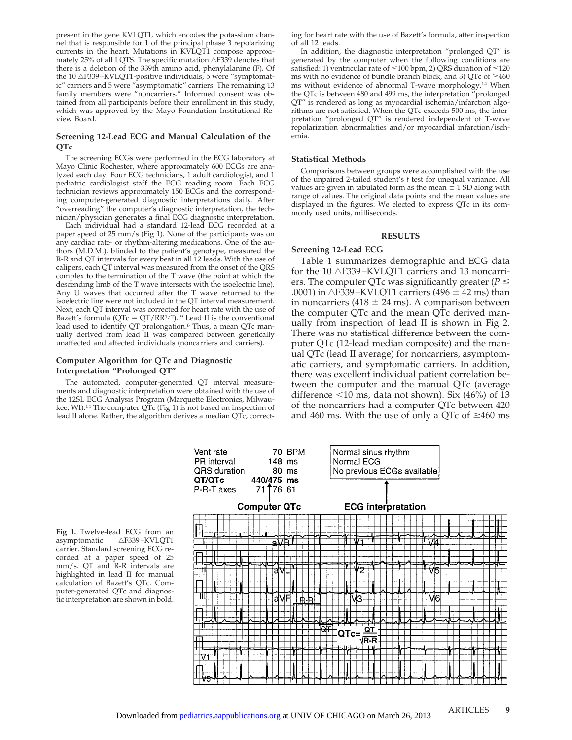present in the gene KVLQT1, which encodes the potassium channel that is responsible for 1 of the principal phase 3 repolarizing currents in the heart. Mutations in KVLQT1 compose approximately 25% of all LQTS. The specific mutation  $\triangle$ F339 denotes that there is a deletion of the 339th amino acid, phenylalanine (F). Of the 10  $\triangle$ F339–KVLQT1-positive individuals, 5 were "symptomatic" carriers and 5 were "asymptomatic" carriers. The remaining 13 family members were "noncarriers." Informed consent was obtained from all participants before their enrollment in this study, which was approved by the Mayo Foundation Institutional Review Board.

#### **Screening 12-Lead ECG and Manual Calculation of the QTc**

The screening ECGs were performed in the ECG laboratory at Mayo Clinic Rochester, where approximately 600 ECGs are analyzed each day. Four ECG technicians, 1 adult cardiologist, and 1 pediatric cardiologist staff the ECG reading room. Each ECG technician reviews approximately 150 ECGs and the corresponding computer-generated diagnostic interpretations daily. After "overreading" the computer's diagnostic interpretation, the technician/physician generates a final ECG diagnostic interpretation.

Each individual had a standard 12-lead ECG recorded at a paper speed of 25 mm/s (Fig 1). None of the participants was on any cardiac rate- or rhythm-altering medications. One of the authors (M.D.M.), blinded to the patient's genotype, measured the R-R and QT intervals for every beat in all 12 leads. With the use of calipers, each QT interval was measured from the onset of the QRS complex to the termination of the T wave (the point at which the descending limb of the T wave intersects with the isoelectric line). Any U waves that occurred after the T wave returned to the isoelectric line were not included in the QT interval measurement. Next, each QT interval was corrected for heart rate with the use of Bazett's formula (QTc = QT/RR<sup>1/2</sup>). <sup>9</sup> Lead II is the conventional lead used to identify QT prolongation.6 Thus, a mean QTc manually derived from lead II was compared between genetically unaffected and affected individuals (noncarriers and carriers).

#### **Computer Algorithm for QTc and Diagnostic Interpretation "Prolonged QT"**

The automated, computer-generated QT interval measurements and diagnostic interpretation were obtained with the use of the 12SL ECG Analysis Program (Marquette Electronics, Milwaukee, WI).14 The computer QTc (Fig 1) is not based on inspection of lead II alone. Rather, the algorithm derives a median QTc, correct-

Vent rate

PR interval

ing for heart rate with the use of Bazett's formula, after inspection of all 12 leads.

In addition, the diagnostic interpretation "prolonged QT" is generated by the computer when the following conditions are satisfied: 1) ventricular rate of  $\leq$ 100 bpm, 2) QRS duration of  $\leq$ 120 ms with no evidence of bundle branch block, and 3) QTc of  $\geq 460$ ms without evidence of abnormal T-wave morphology.14 When the QTc is between 480 and 499 ms, the interpretation "prolonged QT" is rendered as long as myocardial ischemia/infarction algorithms are not satisfied. When the QTc exceeds 500 ms, the interpretation "prolonged QT" is rendered independent of T-wave repolarization abnormalities and/or myocardial infarction/ischemia.

#### **Statistical Methods**

Comparisons between groups were accomplished with the use of the unpaired 2-tailed student's *t* test for unequal variance. All values are given in tabulated form as the mean  $\pm$  1 SD along with range of values. The original data points and the mean values are displayed in the figures. We elected to express QTc in its commonly used units, milliseconds.

#### **RESULTS**

#### **Screening 12-Lead ECG**

Table 1 summarizes demographic and ECG data for the  $10 \triangle F339 - KVLQT1$  carriers and 13 noncarriers. The computer QTc was significantly greater ( $P \leq$ .0001) in  $\triangle$ F339–KVLOT1 carriers (496  $\pm$  42 ms) than in noncarriers (418  $\pm$  24 ms). A comparison between the computer QTc and the mean QTc derived manually from inspection of lead II is shown in Fig 2. There was no statistical difference between the computer QTc (12-lead median composite) and the manual QTc (lead II average) for noncarriers, asymptomatic carriers, and symptomatic carriers. In addition, there was excellent individual patient correlation between the computer and the manual QTc (average difference  $\leq 10$  ms, data not shown). Six (46%) of 13 of the noncarriers had a computer QTc between 420 and 460 ms. With the use of only a QTc of  $\geq$ 460 ms

Normal sinus rhythm

Normal ECG

80 ms QRS duration No previous ECGs available QT/QTc 440/475 ms P-R-T axes 71 76 61 **Computer QTc ECG** interpretation QT OΤc /R-R

70 BPM

148 ms

**Fig 1.** Twelve-lead ECG from an asymptomatic △F339-KVLQT1 carrier. Standard screening ECG recorded at a paper speed of 25 mm/s. QT and R-R intervals are highlighted in lead II for manual calculation of Bazett's QTc. Computer-generated QTc and diagnostic interpretation are shown in bold.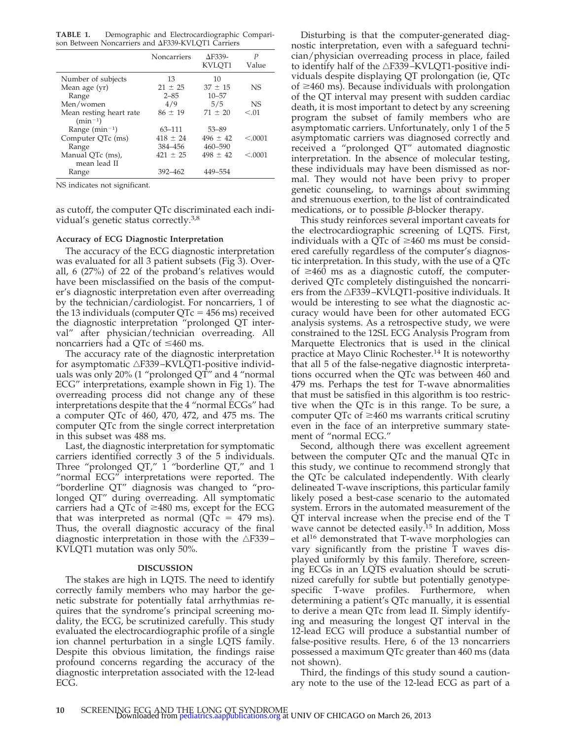**TABLE 1.** Demographic and Electrocardiographic Comparison Between Noncarriers and ΔF339-KVLOT1 Carriers

|                         | <b>Noncarriers</b> | $\Delta$ F339-<br>KVLOT1 | Р<br>Value |
|-------------------------|--------------------|--------------------------|------------|
| Number of subjects      | 13                 | 10                       |            |
| Mean age (yr)           | $21 \pm 25$        | $37 \pm 15$              | NS         |
| Range                   | $2 - 85$           | $10 - 57$                |            |
| Men/women               | 4/9                | 5/5                      | NS.        |
| Mean resting heart rate | $86 \pm 19$        | $71 + 20$                | < 0.01     |
| $(min^{-1})$            |                    |                          |            |
| Range $(min^{-1})$      | $63 - 111$         | 53-89                    |            |
| Computer QTc (ms)       | $418 \pm 24$       | $496 \pm 42$             | < 0.0001   |
| Range                   | 384-456            | 460-590                  |            |
| Manual OTc (ms),        | $421 \pm 25$       | $498 \pm 42$             | < 0.001    |
| mean lead II            |                    |                          |            |
| Range                   | 392-462            | 449-554                  |            |

NS indicates not significant.

as cutoff, the computer QTc discriminated each individual's genetic status correctly.3,8

#### **Accuracy of ECG Diagnostic Interpretation**

The accuracy of the ECG diagnostic interpretation was evaluated for all 3 patient subsets (Fig 3). Overall, 6 (27%) of 22 of the proband's relatives would have been misclassified on the basis of the computer's diagnostic interpretation even after overreading by the technician/cardiologist. For noncarriers, 1 of the 13 individuals (computer  $QTc = 456$  ms) received the diagnostic interpretation "prolonged QT interval" after physician/technician overreading. All noncarriers had a OTc of  $\leq 460$  ms.

The accuracy rate of the diagnostic interpretation for asymptomatic  $\triangle$ F339–KVLQT1-positive individuals was only 20% (1 "prolonged QT" and 4 "normal ECG" interpretations, example shown in Fig 1). The overreading process did not change any of these interpretations despite that the 4 "normal ECGs" had a computer QTc of 460, 470, 472, and 475 ms. The computer QTc from the single correct interpretation in this subset was 488 ms.

Last, the diagnostic interpretation for symptomatic carriers identified correctly 3 of the 5 individuals. Three "prolonged QT," 1 "borderline QT," and 1 "normal ECG" interpretations were reported. The "borderline QT" diagnosis was changed to "prolonged QT" during overreading. All symptomatic carriers had a QTc of  $\geq$ 480 ms, except for the ECG that was interpreted as normal ( $Q\bar{T}c = 479$  ms). Thus, the overall diagnostic accuracy of the final diagnostic interpretation in those with the  $\triangle$ F339-KVLQT1 mutation was only 50%.

#### **DISCUSSION**

The stakes are high in LQTS. The need to identify correctly family members who may harbor the genetic substrate for potentially fatal arrhythmias requires that the syndrome's principal screening modality, the ECG, be scrutinized carefully. This study evaluated the electrocardiographic profile of a single ion channel perturbation in a single LQTS family. Despite this obvious limitation, the findings raise profound concerns regarding the accuracy of the diagnostic interpretation associated with the 12-lead ECG.

Disturbing is that the computer-generated diagnostic interpretation, even with a safeguard technician/physician overreading process in place, failed to identify half of the  $\triangle$ F339 $-$ KVLQT1-positive individuals despite displaying QT prolongation (ie, QTc of  $\geq$ 460 ms). Because individuals with prolongation of the QT interval may present with sudden cardiac death, it is most important to detect by any screening program the subset of family members who are asymptomatic carriers. Unfortunately, only 1 of the 5 asymptomatic carriers was diagnosed correctly and received a "prolonged QT" automated diagnostic interpretation. In the absence of molecular testing, these individuals may have been dismissed as normal. They would not have been privy to proper genetic counseling, to warnings about swimming and strenuous exertion, to the list of contraindicated medications, or to possible  $\beta$ -blocker therapy.

This study reinforces several important caveats for the electrocardiographic screening of LQTS. First, individuals with a QTc of  $\geq 460$  ms must be considered carefully regardless of the computer's diagnostic interpretation. In this study, with the use of a QTc of  $\geq 460$  ms as a diagnostic cutoff, the computerderived QTc completely distinguished the noncarriers from the  $\triangle$ F339–KVLQT1-positive individuals. It would be interesting to see what the diagnostic accuracy would have been for other automated ECG analysis systems. As a retrospective study, we were constrained to the 12SL ECG Analysis Program from Marquette Electronics that is used in the clinical practice at Mayo Clinic Rochester.<sup>14</sup> It is noteworthy that all 5 of the false-negative diagnostic interpretations occurred when the QTc was between 460 and 479 ms. Perhaps the test for T-wave abnormalities that must be satisfied in this algorithm is too restrictive when the QTc is in this range. To be sure, a computer QTc of  $\geq 460$  ms warrants critical scrutiny even in the face of an interpretive summary statement of "normal ECG."

Second, although there was excellent agreement between the computer QTc and the manual QTc in this study, we continue to recommend strongly that the QTc be calculated independently. With clearly delineated T-wave inscriptions, this particular family likely posed a best-case scenario to the automated system. Errors in the automated measurement of the QT interval increase when the precise end of the T wave cannot be detected easily.<sup>15</sup> In addition, Moss et al<sup>16</sup> demonstrated that T-wave morphologies can vary significantly from the pristine T waves displayed uniformly by this family. Therefore, screening ECGs in an LQTS evaluation should be scrutinized carefully for subtle but potentially genotypespecific T-wave profiles. Furthermore, when determining a patient's QTc manually, it is essential to derive a mean QTc from lead II. Simply identifying and measuring the longest QT interval in the 12-lead ECG will produce a substantial number of false-positive results. Here, 6 of the 13 noncarriers possessed a maximum QTc greater than 460 ms (data not shown).

Third, the findings of this study sound a cautionary note to the use of the 12-lead ECG as part of a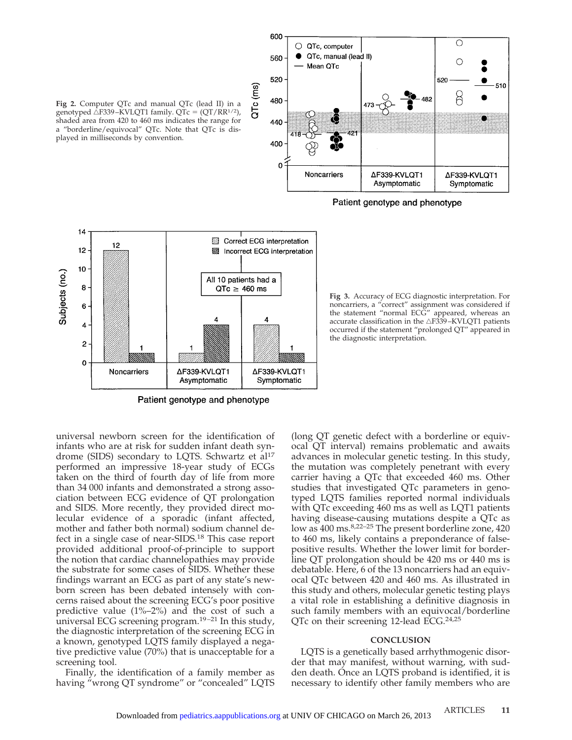



Patient genotype and phenotype



**Fig 3.** Accuracy of ECG diagnostic interpretation. For noncarriers, a "correct" assignment was considered if the statement "normal ECG" appeared, whereas an accurate classification in the  $\triangle$ F339–KVLQT1 patients occurred if the statement "prolonged QT" appeared in the diagnostic interpretation.

universal newborn screen for the identification of infants who are at risk for sudden infant death syndrome (SIDS) secondary to LQTS. Schwartz et al<sup>17</sup> performed an impressive 18-year study of ECGs taken on the third of fourth day of life from more than 34 000 infants and demonstrated a strong association between ECG evidence of QT prolongation and SIDS. More recently, they provided direct molecular evidence of a sporadic (infant affected, mother and father both normal) sodium channel defect in a single case of near-SIDS.18 This case report provided additional proof-of-principle to support the notion that cardiac channelopathies may provide the substrate for some cases of SIDS. Whether these findings warrant an ECG as part of any state's newborn screen has been debated intensely with concerns raised about the screening ECG's poor positive predictive value (1%–2%) and the cost of such a universal ECG screening program.19–21 In this study, the diagnostic interpretation of the screening ECG in a known, genotyped LQTS family displayed a negative predictive value (70%) that is unacceptable for a screening tool.

Finally, the identification of a family member as having "wrong QT syndrome" or "concealed" LQTS

(long QT genetic defect with a borderline or equivocal QT interval) remains problematic and awaits advances in molecular genetic testing. In this study, the mutation was completely penetrant with every carrier having a QTc that exceeded 460 ms. Other studies that investigated QTc parameters in genotyped LQTS families reported normal individuals with QTc exceeding 460 ms as well as LQT1 patients having disease-causing mutations despite a QTc as low as 400 ms.<sup>8,22-25</sup> The present borderline zone, 420 to 460 ms, likely contains a preponderance of falsepositive results. Whether the lower limit for borderline QT prolongation should be 420 ms or 440 ms is debatable. Here, 6 of the 13 noncarriers had an equivocal QTc between 420 and 460 ms. As illustrated in this study and others, molecular genetic testing plays a vital role in establishing a definitive diagnosis in such family members with an equivocal/borderline QTc on their screening 12-lead ECG.24,25

#### **CONCLUSION**

LQTS is a genetically based arrhythmogenic disorder that may manifest, without warning, with sudden death. Once an LQTS proband is identified, it is necessary to identify other family members who are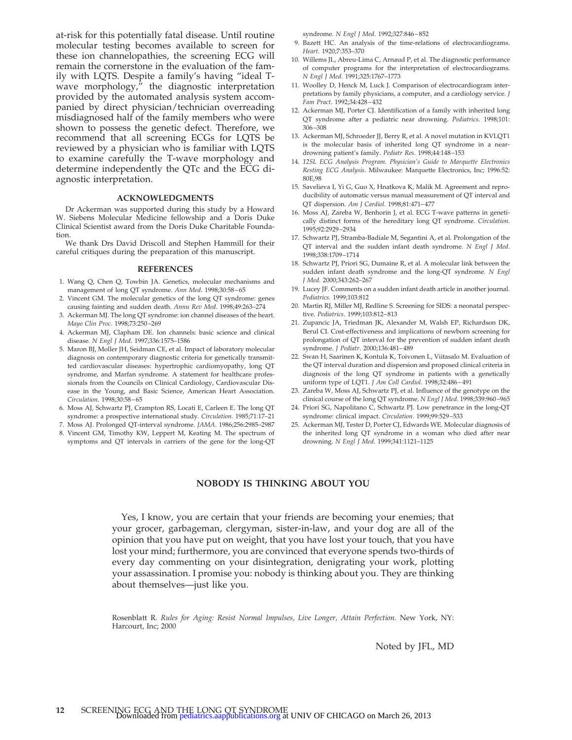at-risk for this potentially fatal disease. Until routine molecular testing becomes available to screen for these ion channelopathies, the screening ECG will remain the cornerstone in the evaluation of the family with LQTS. Despite a family's having "ideal Twave morphology," the diagnostic interpretation provided by the automated analysis system accompanied by direct physician/technician overreading misdiagnosed half of the family members who were shown to possess the genetic defect. Therefore, we recommend that all screening ECGs for LQTS be reviewed by a physician who is familiar with LQTS to examine carefully the T-wave morphology and determine independently the QTc and the ECG diagnostic interpretation.

#### **ACKNOWLEDGMENTS**

Dr Ackerman was supported during this study by a Howard W. Siebens Molecular Medicine fellowship and a Doris Duke Clinical Scientist award from the Doris Duke Charitable Foundation.

We thank Drs David Driscoll and Stephen Hammill for their careful critiques during the preparation of this manuscript.

#### **REFERENCES**

- 1. Wang Q, Chen Q, Towbin JA. Genetics, molecular mechanisms and management of long QT syndrome. *Ann Med*. 1998;30:58–65
- 2. Vincent GM. The molecular genetics of the long QT syndrome: genes causing fainting and sudden death. *Annu Rev Med*. 1998;49:263–274
- 3. Ackerman MJ. The long QT syndrome: ion channel diseases of the heart. *Mayo Clin Proc*. 1998;73:250–269
- 4. Ackerman MJ, Clapham DE. Ion channels: basic science and clinical disease*. N Engl J Med*. 1997;336:1575–1586
- 5. Maron BJ, Moller JH, Seidman CE, et al. Impact of laboratory molecular diagnosis on contemporary diagnostic criteria for genetically transmitted cardiovascular diseases: hypertrophic cardiomyopathy, long QT syndrome, and Marfan syndrome. A statement for healthcare professionals from the Councils on Clinical Cardiology, Cardiovascular Disease in the Young, and Basic Science, American Heart Association. *Circulation*. 1998;30:58–65
- 6. Moss AJ, Schwartz PJ, Crampton RS, Locati E, Carleen E. The long QT syndrome: a prospective international study. *Circulation*. 1985;71:17–21
- 7. Moss AJ. Prolonged QT-interval syndrome. *JAMA*. 1986;256:2985–2987
- 8. Vincent GM, Timothy KW, Leppert M, Keating M. The spectrum of symptoms and QT intervals in carriers of the gene for the long-QT

syndrome. *N Engl J Med*. 1992;327:846–852

- 9. Bazett HC. An analysis of the time-relations of electrocardiograms. *Heart*. 1920;7:353–370
- 10. Willems JL, Abreu-Lima C, Arnaud P, et al. The diagnostic performance of computer programs for the interpretation of electrocardiograms. *N Engl J Med*. 1991;325:1767–1773
- 11. Woolley D, Henck M, Luck J. Comparison of electrocardiogram interpretations by family physicians, a computer, and a cardiology service. *J Fam Pract*. 1992;34:428–432
- 12. Ackerman MJ, Porter CJ. Identification of a family with inherited long QT syndrome after a pediatric near drowning. *Pediatrics*. 1998;101: 306–308
- 13. Ackerman MJ, Schroeder JJ, Berry R, et al. A novel mutation in KVLQT1 is the molecular basis of inherited long QT syndrome in a neardrowning patient's family. *Pediatr Res*. 1998;44:148–153
- 14. *12SL ECG Analysis Program. Physician's Guide to Marquette Electronics Resting ECG Analysis*. Milwaukee: Marquette Electronics, Inc; 1996:52: 80E,98
- 15. Savelieva I, Yi G, Guo X, Hnatkova K, Malik M. Agreement and reproducibility of automatic versus manual measurement of QT interval and QT dispersion. *Am J Cardiol*. 1998;81:471–477
- 16. Moss AJ, Zareba W, Benhorin J, et al. ECG T-wave patterns in genetically distinct forms of the hereditary long QT syndrome. *Circulation*. 1995;92:2929–2934
- 17. Schwartz PJ, Stramba-Badiale M, Segantini A, et al. Prolongation of the QT interval and the sudden infant death syndrome. *N Engl J Med*. 1998;338:1709–1714
- 18. Schwartz PJ, Priori SG, Dumaine R, et al. A molecular link between the sudden infant death syndrome and the long-QT syndrome. *N Engl J Med*. 2000;343:262–267
- 19. Lucey JF. Comments on a sudden infant death article in another journal. *Pediatrics*. 1999;103:812
- 20. Martin RJ, Miller MJ, Redline S. Screening for SIDS: a neonatal perspective. *Pediatrics*. 1999;103:812–813
- 21. Zupancic JA, Triedman JK, Alexander M, Walsh EP, Richardson DK, Berul CI. Cost-effectiveness and implications of newborn screening for prolongation of QT interval for the prevention of sudden infant death syndrome. *J Pediatr*. 2000;136:481–489
- 22. Swan H, Saarinen K, Kontula K, Toivonen L, Viitasalo M. Evaluation of the QT interval duration and dispersion and proposed clinical criteria in diagnosis of the long QT syndrome in patients with a genetically uniform type of LQT1. *J Am Coll Cardiol*. 1998;32:486–491
- 23. Zareba W, Moss AJ, Schwartz PJ, et al. Influence of the genotype on the clinical course of the long QT syndrome. *N Engl J Med*. 1998;339:960–965
- 24. Priori SG, Napolitano C, Schwartz PJ. Low penetrance in the long-QT syndrome: clinical impact. *Circulation*. 1999;99:529–533
- 25. Ackerman MJ, Tester D, Porter CJ, Edwards WE. Molecular diagnosis of the inherited long QT syndrome in a woman who died after near drowning. *N Engl J Med*. 1999;341:1121–1125

#### **NOBODY IS THINKING ABOUT YOU**

Yes, I know, you are certain that your friends are becoming your enemies; that your grocer, garbageman, clergyman, sister-in-law, and your dog are all of the opinion that you have put on weight, that you have lost your touch, that you have lost your mind; furthermore, you are convinced that everyone spends two-thirds of every day commenting on your disintegration, denigrating your work, plotting your assassination. I promise you: nobody is thinking about you. They are thinking about themselves—just like you.

Rosenblatt R. *Rules for Aging: Resist Normal Impulses, Live Longer, Attain Perfection.* New York, NY: Harcourt, Inc; 2000

Noted by JFL, MD